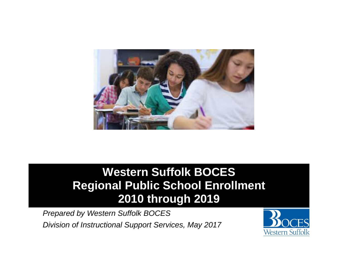

# **Western Suffolk BOCES Regional Public School Enrollment 2010 through 2019**

*Prepared by Western Suffolk BOCES Division of Instructional Support Services, May 2017*

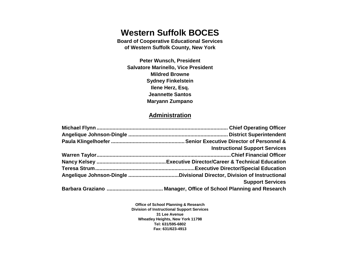# **Western Suffolk BOCES**

**Board of Cooperative Educational Services of Western Suffolk County, New York**

**Peter Wunsch, President Salvatore Marinello, Vice President Mildred Browne Sydney Finkelstein Ilene Herz, Esq. Jeannette Santos Maryann Zumpano**

# **Administration**

| <b>Instructional Support Services</b> |
|---------------------------------------|
|                                       |
|                                       |
|                                       |
|                                       |
| <b>Support Services</b>               |
|                                       |

**Office of School Planning & Research Division of Instructional Support Services 31 Lee Avenue Wheatley Heights, New York 11798 Tel: 631/595-6802 Fax: 631/623-4913**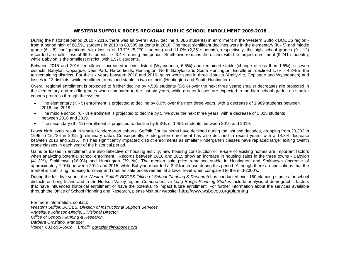#### WESTERN SUFFOLK BOCES REGIONAL PUBLIC SCHOOL ENROLLMENT 2009-2018

During the historical period 2010 - 2016, there was an overall 9.1% decline (8,086 students) in enrollment in the Western Suffolk BOCES region from a period high of 88,591 students in 2010 to 80,505 students in 2016. The most significant declines were in the elementary (K - 5) and middle grade (6 - 8) configurations, with losses of 13.7% (5,270 students) and 11.0% (2,351students), respectively; the high school grades (9 - 12) recorded a smaller loss of 959 students, or 3.4%, during this period. Smithtown remains the district with the largest enrollment (9,241 students), while Babylon is the smallest district, with 1,570 students.

Between 2015 and 2016, enrollment increased in one district (Wyandanch, 6.5%) and remained stable (change of less than 1.5%) in seven districts: Babylon, Copiague, Deer Park, Harborfields, Huntington, North Babylon and South Huntington. Enrollment declined 1.7% - 4.2% in the ten remaining districts. For the six years between 2010 and 2016, gains were seen in three districts (Amityville, Copiague and Wyandanch) and losses in 13 districts, while enrollment remained stable in two districts (Huntington and South Huntington).

Overall regional enrollment is projected to further decline by 4,505 students (5.6%) over the next three years; smaller decreases are projected in the elementary and middle grades when compared to the last six years, while greater losses are expected in the high school grades as smaller cohorts progress through the system.

- The elementary (K 5) enrollment is projected to decline by 6.0% over the next three years, with a decrease of 1,989 students between 2016 and 2019.
- The middle school (6 8) enrollment is projected to decline by 5.4% over the next three years, with a decrease of 1,025 students between 2016 and 2019.
- The secondary (9 12) enrollment is projected to decline by 5.3%, or 1,451 students, between 2016 and 2019.

Lower birth levels result in smaller kindergarten cohorts. Suffolk County births have declined during the last two decades, dropping from 20,302 in 1995 to 15,784 in 2015 (preliminary data). Consequently, kindergarten enrollment has also declined in recent years, with a 14.8% decrease between 2010 and 2016. This has significantly impacted district enrollments as smaller kindergarten classes have replaced larger exiting twelfth grade classes in each year of the historical period.

Gains or losses in enrollment are also reflective of housing activity; new housing construction or re-sale of existing homes are important factors when analyzing potential school enrollment. Records between 2010 and 2015 show an increase in housing sales in the three towns - Babylon (41.3%), Smithtown (26.9%) and Huntington (39.1%). The median sale price remained stable in Huntington and Smithtown (increase of approximately 1.0%) between 2014 and 2015, while Babylon recorded a 3.4% increase during this period. Although there are indications that the market is stabilizing, housing turnover and median sale prices remain at a lower level when compared to the mid-2000's.

During the last five years, the *Western Suffolk BOCES Office of School Planning & Research* has conducted over 160 planning studies for school districts on Long Island and in the Hudson Valley region. *Comprehensive Long Range Planning Studies* include analysis of demographic factors that have influenced historical enrollment or have the potential to impact future enrollment. For further information about the services available through the Office of School Planning and Research, please visit our website:<http://www.wsboces.org/planning>

For more information, contact: *Western Suffolk BOCES, Division of Instructional Support Services Angelique Johnson-Dingle, Divisional Director Office of School Planning & Research, Barbara Graziano, Manager Voice: 631-595-6802 Email: [bgrazian@wsboces.org](mailto:bgrazian@wsboces.org)*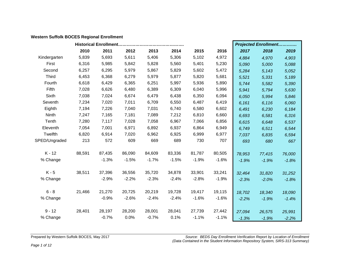# **Western Suffolk BOCES Regional Enrollment**

|               |        |         |         |         |         |         |         |         | <b>Projected Enrollment</b> |         |
|---------------|--------|---------|---------|---------|---------|---------|---------|---------|-----------------------------|---------|
|               | 2010   | 2011    | 2012    | 2013    | 2014    | 2015    | 2016    | 2017    | 2018                        | 2019    |
| Kindergarten  | 5,839  | 5,693   | 5,611   | 5,406   | 5,306   | 5,102   | 4,972   | 4,884   | 4,970                       | 4,903   |
| First         | 6,316  | 5,985   | 5,842   | 5,828   | 5,560   | 5,401   | 5,230   | 5,090   | 5,000                       | 5,088   |
| Second        | 6,257  | 6,295   | 5,979   | 5,867   | 5,829   | 5,602   | 5,472   | 5,284   | 5,143                       | 5,052   |
| <b>Third</b>  | 6,453  | 6,368   | 6,279   | 5,979   | 5,877   | 5,820   | 5,681   | 5,521   | 5,331                       | 5,189   |
| Fourth        | 6,618  | 6,429   | 6,365   | 6,251   | 5,997   | 5,936   | 5,890   | 5,744   | 5,582                       | 5,390   |
| Fifth         | 7,028  | 6,626   | 6,480   | 6,389   | 6,309   | 6,040   | 5,996   | 5,941   | 5,794                       | 5,630   |
| Sixth         | 7,038  | 7,024   | 6,674   | 6,479   | 6,438   | 6,350   | 6,094   | 6,050   | 5,994                       | 5,846   |
| Seventh       | 7,234  | 7,020   | 7,011   | 6,709   | 6,550   | 6,487   | 6,419   | 6,161   | 6,116                       | 6,060   |
| Eighth        | 7,194  | 7,226   | 7,040   | 7,031   | 6,740   | 6,580   | 6,602   | 6,491   | 6,230                       | 6,184   |
| Ninth         | 7,247  | 7,165   | 7,181   | 7,089   | 7,212   | 6,810   | 6,660   | 6,693   | 6,581                       | 6,316   |
| Tenth         | 7,280  | 7,117   | 7,028   | 7,058   | 6,967   | 7,066   | 6,856   | 6,615   | 6,648                       | 6,537   |
| Eleventh      | 7,054  | 7,001   | 6,971   | 6,892   | 6,937   | 6,864   | 6,949   | 6,749   | 6,511                       | 6,544   |
| Twelfth       | 6,820  | 6,914   | 7,020   | 6,962   | 6,925   | 6,999   | 6,977   | 7,037   | 6,835                       | 6,594   |
| SPED/Ungraded | 213    | 572     | 609     | 669     | 689     | 730     | 707     | 693     | 680                         | 667     |
|               |        |         |         |         |         |         |         |         |                             |         |
| $K - 12$      | 88,591 | 87,435  | 86,090  | 84,609  | 83,336  | 81,787  | 80,505  | 78,953  | 77,415                      | 76,000  |
| % Change      |        | $-1.3%$ | $-1.5%$ | $-1.7%$ | $-1.5%$ | $-1.9%$ | $-1.6%$ | $-1.9%$ | $-1.9%$                     | $-1.8%$ |
|               |        |         |         |         |         |         |         |         |                             |         |
| $K - 5$       | 38,511 | 37,396  | 36,556  | 35,720  | 34,878  | 33,901  | 33,241  | 32,464  | 31,820                      | 31,252  |
| % Change      |        | $-2.9%$ | $-2.2%$ | $-2.3%$ | $-2.4%$ | $-2.8%$ | $-1.9%$ | $-2.3%$ | $-2.0%$                     | $-1.8%$ |
|               |        |         |         |         |         |         |         |         |                             |         |
| $6 - 8$       | 21,466 | 21,270  | 20,725  | 20,219  | 19,728  | 19,417  | 19,115  | 18,702  | 18,340                      | 18,090  |
| % Change      |        | $-0.9%$ | $-2.6%$ | $-2.4%$ | $-2.4%$ | $-1.6%$ | $-1.6%$ | $-2.2%$ | $-1.9%$                     | $-1.4%$ |
|               |        |         |         |         |         |         |         |         |                             |         |
| $9 - 12$      | 28,401 | 28,197  | 28,200  | 28,001  | 28,041  | 27,739  | 27,442  | 27,094  | 26,575                      | 25,991  |
| % Change      |        | $-0.7%$ | 0.0%    | $-0.7%$ | 0.1%    | $-1.1%$ | $-1.1%$ | $-1.3%$ | $-1.9%$                     | $-2.2%$ |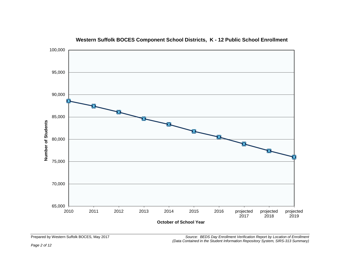

# **Western Suffolk BOCES Component School Districts, K - 12 Public School Enrollment**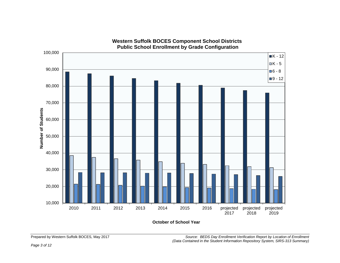

**Western Suffolk BOCES Component School Districts Public School Enrollment by Grade Configuration**

**October of School Year**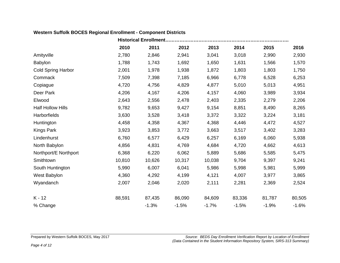# **Western Suffolk BOCES Regional Enrollment - Component Districts**

|                           |        | <b>Historical Enrollment</b> |         |         |         |         |         |  |  |  |  |  |  |
|---------------------------|--------|------------------------------|---------|---------|---------|---------|---------|--|--|--|--|--|--|
|                           | 2010   | 2011                         | 2012    | 2013    | 2014    | 2015    | 2016    |  |  |  |  |  |  |
| Amityville                | 2,780  | 2,846                        | 2,941   | 3,041   | 3,018   | 2,990   | 2,930   |  |  |  |  |  |  |
| Babylon                   | 1,788  | 1,743                        | 1,692   | 1,650   | 1,631   | 1,566   | 1,570   |  |  |  |  |  |  |
| <b>Cold Spring Harbor</b> | 2,001  | 1,978                        | 1,938   | 1,872   | 1,803   | 1,803   | 1,750   |  |  |  |  |  |  |
| Commack                   | 7,509  | 7,398                        | 7,185   | 6,966   | 6,778   | 6,528   | 6,253   |  |  |  |  |  |  |
| Copiague                  | 4,720  | 4,756                        | 4,829   | 4,877   | 5,010   | 5,013   | 4,951   |  |  |  |  |  |  |
| Deer Park                 | 4,206  | 4,167                        | 4,206   | 4,157   | 4,060   | 3,989   | 3,934   |  |  |  |  |  |  |
| Elwood                    | 2,643  | 2,556                        | 2,478   | 2,403   | 2,335   | 2,279   | 2,206   |  |  |  |  |  |  |
| <b>Half Hollow Hills</b>  | 9,782  | 9,653                        | 9,427   | 9,154   | 8,851   | 8,490   | 8,265   |  |  |  |  |  |  |
| Harborfields              | 3,630  | 3,528                        | 3,418   | 3,372   | 3,322   | 3,224   | 3,181   |  |  |  |  |  |  |
| Huntington                | 4,458  | 4,358                        | 4,367   | 4,368   | 4,446   | 4,472   | 4,527   |  |  |  |  |  |  |
| <b>Kings Park</b>         | 3,923  | 3,853                        | 3,772   | 3,663   | 3,517   | 3,402   | 3,283   |  |  |  |  |  |  |
| Lindenhurst               | 6,760  | 6,577                        | 6,429   | 6,257   | 6,169   | 6,060   | 5,938   |  |  |  |  |  |  |
| North Babylon             | 4,856  | 4,831                        | 4,769   | 4,684   | 4,720   | 4,662   | 4,613   |  |  |  |  |  |  |
| Northport/E Northport     | 6,368  | 6,220                        | 6,062   | 5,889   | 5,686   | 5,585   | 5,475   |  |  |  |  |  |  |
| Smithtown                 | 10,810 | 10,626                       | 10,317  | 10,038  | 9,704   | 9,397   | 9,241   |  |  |  |  |  |  |
| South Huntington          | 5,990  | 6,007                        | 6,041   | 5,986   | 5,998   | 5,981   | 5,999   |  |  |  |  |  |  |
| West Babylon              | 4,360  | 4,292                        | 4,199   | 4,121   | 4,007   | 3,977   | 3,865   |  |  |  |  |  |  |
| Wyandanch                 | 2,007  | 2,046                        | 2,020   | 2,111   | 2,281   | 2,369   | 2,524   |  |  |  |  |  |  |
| $K - 12$                  | 88,591 | 87,435                       | 86,090  | 84,609  | 83,336  | 81,787  | 80,505  |  |  |  |  |  |  |
| % Change                  |        | $-1.3%$                      | $-1.5%$ | $-1.7%$ | $-1.5%$ | $-1.9%$ | $-1.6%$ |  |  |  |  |  |  |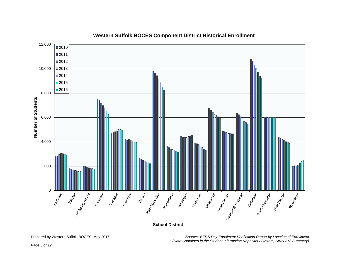

# **Western Suffolk BOCES Component District Historical Enrollment**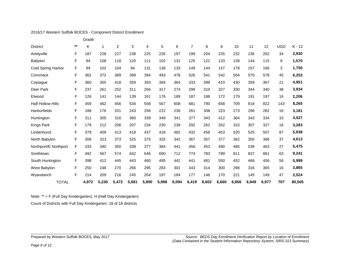## 2016/17 Western Suffolk BOCES - Component District Enrollment

|                          |             | Grade: |       |                |       |       |       |       |                |       |       |       |       |       |            |          |
|--------------------------|-------------|--------|-------|----------------|-------|-------|-------|-------|----------------|-------|-------|-------|-------|-------|------------|----------|
| District:                | $***$       | Κ      | 1     | $\overline{c}$ | 3     | 4     | 5     | 6     | $\overline{7}$ | 8     | 9     | 10    | 11    | 12    | <b>UGD</b> | $K - 12$ |
| Amityville               | F           | 187    | 228   | 227            | 238   | 225   | 226   | 197   | 199            | 204   | 235   | 232   | 236   | 262   | 34         | 2,930    |
| Babylon                  | F           | 94     | 108   | 118            | 120   | 111   | 102   | 131   | 125            | 122   | 133   | 138   | 144   | 115   | 9          | 1,570    |
| Cold Spring Harbor       | F           | 94     | 102   | 104            | 94    | 131   | 138   | 133   | 149            | 144   | 157   | 178   | 157   | 166   | 3          | 1,750    |
| Commack                  | F           | 362    | 372   | 389            | 399   | 394   | 493   | 478   | 526            | 541   | 542   | 564   | 570   | 578   | 45         | 6,253    |
| Copiague                 | F           | 360    | 355   | 418            | 359   | 393   | 384   | 364   | 333            | 398   | 410   | 430   | 359   | 367   | 21         | 4,951    |
| Deer Park                | F           | 237    | 261   | 252            | 311   | 294   | 317   | 274   | 299            | 310   | 327   | 330   | 344   | 340   | 38         | 3,934    |
| Elwood                   | F           | 126    | 141   | 144            | 139   | 161   | 176   | 189   | 187            | 188   | 172   | 179   | 191   | 197   | 16         | 2,206    |
| <b>Half Hollow Hills</b> | F           | 459    | 462   | 456            | 534   | 558   | 567   | 608   | 681            | 790   | 658   | 709   | 818   | 822   | 143        | 8,265    |
| <b>Harborfields</b>      | F           | 188    | 176   | 201            | 243   | 256   | 222   | 236   | 261            | 308   | 223   | 273   | 296   | 282   | 16         | 3,181    |
| Huntington               | F           | 311    | 305   | 316            | 360   | 339   | 349   | 341   | 377            | 343   | 412   | 364   | 343   | 334   | 33         | 4,527    |
| Kings Park               | $\mathsf F$ | 179    | 212   | 206            | 207   | 234   | 230   | 239   | 292            | 262   | 262   | 310   | 307   | 327   | 16         | 3,283    |
| Lindenhurst              | F           | 379    | 409   | 413            | 418   | 437   | 418   | 482   | 432            | 458   | 453   | 520   | 525   | 507   | 87         | 5,938    |
| North Babylon            | F           | 309    | 323   | 373            | 325   | 375   | 325   | 342   | 367            | 357   | 377   | 362   | 355   | 386   | 37         | 4,613    |
| Northport/E Northport    | F           | 333    | 340   | 350            | 338   | 377   | 384   | 441   | 456            | 453   | 490   | 485   | 538   | 463   | 27         | 5,475    |
| Smithtown                | F           | 492    | 567   | 574            | 642   | 646   | 690   | 712   | 774            | 783   | 789   | 811   | 837   | 861   | 63         | 9,241    |
| South Huntington         | F           | 398    | 412   | 445            | 443   | 460   | 495   | 442   | 441            | 481   | 550   | 452   | 468   | 456   | 56         | 5,999    |
| West Babylon             | $\mathsf F$ | 250    | 248   | 270            | 266   | 295   | 283   | 301   | 343            | 314   | 300   | 298   | 316   | 365   | 16         | 3,865    |
| Wyandanch                | F           | 214    | 209   | 216            | 245   | 204   | 197   | 184   | 177            | 146   | 170   | 221   | 145   | 149   | 47         | 2,524    |
| <b>TOTAL</b>             |             | 4,972  | 5,230 | 5,472          | 5,681 | 5,890 | 5,996 | 6,094 | 6,419          | 6,602 | 6,660 | 6,856 | 6,949 | 6,977 | 707        | 80,505   |

Note: \*\* = F (Full Day Kindergarten), H (Half Day Kindergarten)

Count of Districts with Full Day Kindergarten: 18 of 18 districts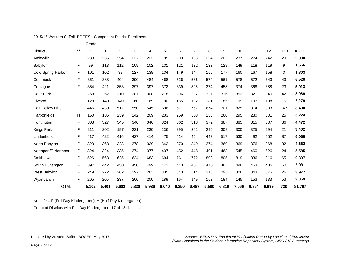|                          |             | Grade: |       |                |       |       |       |       |                |       |       |       |       |       |            |          |
|--------------------------|-------------|--------|-------|----------------|-------|-------|-------|-------|----------------|-------|-------|-------|-------|-------|------------|----------|
| District:                | $***$       | Κ      | 1     | $\overline{2}$ | 3     | 4     | 5     | 6     | $\overline{7}$ | 8     | 9     | 10    | 11    | 12    | <b>UGD</b> | $K - 12$ |
| Amityville               | F           | 238    | 236   | 254            | 237   | 223   | 195   | 203   | 193            | 224   | 205   | 237   | 274   | 242   | 29         | 2,990    |
| Babylon                  | F           | 99     | 113   | 112            | 109   | 102   | 131   | 121   | 122            | 133   | 129   | 149   | 118   | 119   | 9          | 1,566    |
| Cold Spring Harbor       | F           | 101    | 102   | 88             | 127   | 138   | 134   | 149   | 144            | 155   | 177   | 160   | 167   | 158   | 3          | 1,803    |
| Commack                  | F           | 361    | 388   | 404            | 390   | 484   | 468   | 526   | 536            | 574   | 561   | 578   | 572   | 643   | 43         | 6,528    |
| Copiague                 | F           | 354    | 421   | 353            | 397   | 397   | 372   | 339   | 395            | 374   | 458   | 374   | 368   | 388   | 23         | 5,013    |
| Deer Park                | F           | 258    | 252   | 310            | 287   | 308   | 278   | 296   | 302            | 327   | 316   | 352   | 321   | 340   | 42         | 3,989    |
| Elwood                   | F           | 128    | 140   | 140            | 160   | 169   | 190   | 185   | 192            | 181   | 185   | 199   | 197   | 198   | 15         | 2,279    |
| <b>Half Hollow Hills</b> | F           | 446    | 439   | 512            | 550   | 545   | 596   | 671   | 767            | 674   | 701   | 825   | 814   | 803   | 147        | 8,490    |
| Harborfields             | н           | 160    | 185   | 239            | 242   | 209   | 233   | 259   | 303            | 233   | 260   | 295   | 280   | 301   | 25         | 3,224    |
| Huntington               | F           | 308    | 327   | 345            | 340   | 346   | 324   | 362   | 318            | 372   | 387   | 385   | 315   | 307   | 36         | 4,472    |
| Kings Park               | F           | 211    | 202   | 197            | 231   | 230   | 236   | 295   | 262            | 290   | 308   | 300   | 325   | 294   | 21         | 3,402    |
| Lindenhurst              | $\mathsf F$ | 417    | 422   | 416            | 427   | 414   | 475   | 414   | 454            | 443   | 517   | 530   | 492   | 552   | 87         | 6,060    |
| North Babylon            | F           | 320    | 363   | 323            | 378   | 329   | 342   | 370   | 349            | 374   | 369   | 369   | 376   | 368   | 32         | 4,662    |
| Northport/E Northport    | F           | 324    | 324   | 335            | 374   | 377   | 437   | 452   | 448            | 491   | 468   | 545   | 460   | 526   | 24         | 5,585    |
| Smithtown                | $\mathsf F$ | 526    | 568   | 625            | 624   | 683   | 694   | 761   | 772            | 803   | 805   | 819   | 836   | 816   | 65         | 9,397    |
| South Huntington         | F           | 397    | 442   | 450            | 450   | 499   | 441   | 443   | 467            | 470   | 485   | 498   | 453   | 436   | 50         | 5,981    |
| West Babylon             | F           | 249    | 272   | 262            | 297   | 283   | 305   | 340   | 314            | 310   | 295   | 306   | 343   | 375   | 26         | 3,977    |
| Wyandanch                | F           | 205    | 205   | 237            | 200   | 200   | 189   | 164   | 149            | 152   | 184   | 145   | 153   | 133   | 53         | 2,369    |
| <b>TOTAL</b>             |             | 5,102  | 5,401 | 5,602          | 5,820 | 5,936 | 6,040 | 6,350 | 6,487          | 6,580 | 6,810 | 7,066 | 6,864 | 6,999 | 730        | 81,787   |

2015/16 Western Suffolk BOCES - Component District Enrollment

Note: \*\* = F (Full Day Kindergarten), H (Half Day Kindergarten)

Count of Districts with Full Day Kindergarten: 17 of 18 districts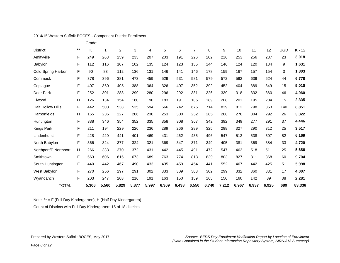|                          |       | Grade: |       |                |       |       |       |       |                |       |                  |       |       |       |            |          |
|--------------------------|-------|--------|-------|----------------|-------|-------|-------|-------|----------------|-------|------------------|-------|-------|-------|------------|----------|
| District:                | $***$ | Κ      | 1     | $\overline{c}$ | 3     | 4     | 5     | 6     | $\overline{7}$ | 8     | $\boldsymbol{9}$ | 10    | 11    | 12    | <b>UGD</b> | $K - 12$ |
| Amityville               | F     | 249    | 263   | 259            | 233   | 207   | 203   | 191   | 226            | 202   | 216              | 253   | 256   | 237   | 23         | 3,018    |
| Babylon                  | F     | 112    | 116   | 107            | 102   | 135   | 124   | 123   | 135            | 144   | 146              | 124   | 120   | 134   | 9          | 1,631    |
| Cold Spring Harbor       | F     | 90     | 83    | 112            | 136   | 131   | 146   | 141   | 146            | 178   | 159              | 167   | 157   | 154   | 3          | 1,803    |
| Commack                  | F     | 378    | 396   | 381            | 473   | 459   | 529   | 531   | 581            | 579   | 572              | 592   | 639   | 624   | 44         | 6,778    |
| Copiague                 | F     | 407    | 360   | 405            | 388   | 364   | 326   | 407   | 352            | 392   | 452              | 404   | 389   | 349   | 15         | 5,010    |
| Deer Park                | F     | 252    | 301   | 288            | 299   | 280   | 296   | 292   | 331            | 326   | 339              | 318   | 332   | 360   | 46         | 4,060    |
| Elwood                   | н     | 126    | 134   | 154            | 160   | 190   | 183   | 191   | 185            | 189   | 208              | 201   | 195   | 204   | 15         | 2,335    |
| <b>Half Hollow Hills</b> | F     | 442    | 503   | 538            | 535   | 594   | 666   | 742   | 675            | 714   | 839              | 812   | 798   | 853   | 140        | 8,851    |
| <b>Harborfields</b>      | H     | 165    | 236   | 227            | 206   | 230   | 253   | 300   | 232            | 285   | 288              | 278   | 304   | 292   | 26         | 3,322    |
| Huntington               | F     | 338    | 346   | 354            | 352   | 335   | 358   | 308   | 367            | 342   | 392              | 349   | 277   | 291   | 37         | 4,446    |
| Kings Park               | F     | 211    | 194   | 229            | 226   | 236   | 289   | 266   | 289            | 325   | 298              | 327   | 290   | 312   | 25         | 3,517    |
| Lindenhurst              | F     | 428    | 420   | 441            | 401   | 469   | 431   | 462   | 435            | 496   | 547              | 512   | 538   | 507   | 82         | 6,169    |
| North Babylon            | F     | 366    | 324   | 377            | 324   | 321   | 369   | 347   | 371            | 349   | 405              | 381   | 369   | 384   | 33         | 4,720    |
| Northport/E Northport    | н     | 266    | 333   | 370            | 372   | 431   | 442   | 445   | 491            | 472   | 547              | 463   | 518   | 511   | 25         | 5,686    |
| Smithtown                | F     | 563    | 606   | 615            | 673   | 689   | 763   | 774   | 813            | 839   | 803              | 827   | 811   | 868   | 60         | 9,704    |
| South Huntington         | F     | 440    | 442   | 467            | 490   | 433   | 435   | 459   | 454            | 441   | 552              | 467   | 442   | 425   | 51         | 5,998    |
| West Babylon             | F     | 270    | 256   | 297            | 291   | 302   | 333   | 309   | 308            | 302   | 299              | 332   | 360   | 331   | 17         | 4,007    |
| Wyandanch                | F     | 203    | 247   | 208            | 216   | 191   | 163   | 150   | 159            | 165   | 150              | 160   | 142   | 89    | 38         | 2,281    |
| <b>TOTAL</b>             |       | 5,306  | 5,560 | 5,829          | 5,877 | 5,997 | 6,309 | 6,438 | 6,550          | 6,740 | 7,212            | 6,967 | 6,937 | 6,925 | 689        | 83,336   |

#### 2014/15 Western Suffolk BOCES - Component District Enrollment

Note: \*\* = F (Full Day Kindergarten), H (Half Day Kindergarten)

Count of Districts with Full Day Kindergarten: 15 of 18 districts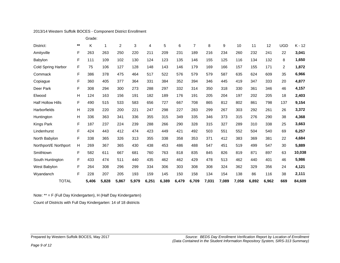## 2013/14 Western Suffolk BOCES - Component District Enrollment

|                          |             | Grade: |       |                |       |       |       |       |                |       |       |       |       |       |                |          |
|--------------------------|-------------|--------|-------|----------------|-------|-------|-------|-------|----------------|-------|-------|-------|-------|-------|----------------|----------|
| District:                | $***$       | K      | 1     | $\overline{2}$ | 3     | 4     | 5     | 6     | $\overline{7}$ | 8     | 9     | 10    | 11    | 12    | <b>UGD</b>     | $K - 12$ |
| Amityville               | F           | 263    | 263   | 250            | 220   | 211   | 209   | 231   | 189            | 216   | 234   | 260   | 232   | 241   | 22             | 3,041    |
| Babylon                  | F           | 111    | 109   | 102            | 130   | 124   | 123   | 135   | 146            | 155   | 125   | 116   | 134   | 132   | 8              | 1,650    |
| Cold Spring Harbor       | F           | 75     | 106   | 127            | 128   | 148   | 143   | 146   | 179            | 169   | 166   | 157   | 155   | 171   | $\overline{2}$ | 1,872    |
| Commack                  | F           | 386    | 378   | 475            | 464   | 517   | 522   | 576   | 579            | 579   | 587   | 635   | 624   | 609   | 35             | 6,966    |
| Copiague                 | F           | 360    | 405   | 377            | 364   | 331   | 384   | 352   | 394            | 346   | 445   | 419   | 347   | 333   | 20             | 4,877    |
| Deer Park                | $\mathsf F$ | 308    | 294   | 300            | 273   | 288   | 297   | 332   | 314            | 350   | 318   | 330   | 361   | 346   | 46             | 4,157    |
| Elwood                   | н           | 124    | 163   | 156            | 191   | 182   | 189   | 176   | 191            | 205   | 204   | 197   | 202   | 205   | 18             | 2,403    |
| <b>Half Hollow Hills</b> | F           | 490    | 515   | 533            | 583   | 656   | 727   | 667   | 708            | 865   | 812   | 802   | 861   | 798   | 137            | 9,154    |
| Harborfields             | н           | 228    | 220   | 200            | 221   | 247   | 298   | 227   | 283            | 299   | 267   | 303   | 292   | 261   | 26             | 3,372    |
| Huntington               | н           | 336    | 363   | 341            | 336   | 355   | 315   | 349   | 335            | 346   | 373   | 315   | 276   | 290   | 38             | 4,368    |
| Kings Park               | $\mathsf F$ | 187    | 237   | 224            | 239   | 288   | 266   | 290   | 328            | 315   | 327   | 289   | 310   | 338   | 25             | 3,663    |
| Lindenhurst              | F           | 424    | 443   | 412            | 474   | 423   | 449   | 421   | 492            | 503   | 551   | 552   | 504   | 540   | 69             | 6,257    |
| North Babylon            | F           | 338    | 365   | 326            | 313   | 355   | 338   | 358   | 353            | 371   | 412   | 383   | 369   | 381   | 22             | 4,684    |
| Northport/E Northport    | H           | 269    | 367   | 365            | 430   | 438   | 453   | 486   | 488            | 547   | 451   | 519   | 499   | 547   | 30             | 5,889    |
| Smithtown                | F           | 582    | 611   | 667            | 681   | 760   | 763   | 818   | 835            | 845   | 826   | 819   | 871   | 897   | 63             | 10,038   |
| South Huntington         | F           | 433    | 474   | 511            | 440   | 435   | 462   | 462   | 429            | 478   | 513   | 462   | 440   | 401   | 46             | 5,986    |
| West Babylon             | F           | 264    | 308   | 296            | 299   | 334   | 306   | 303   | 308            | 308   | 324   | 362   | 329   | 356   | 24             | 4,121    |
| Wyandanch                | F           | 228    | 207   | 205            | 193   | 159   | 145   | 150   | 158            | 134   | 154   | 138   | 86    | 116   | 38             | 2,111    |
| <b>TOTAL</b>             |             | 5,406  | 5,828 | 5,867          | 5,979 | 6,251 | 6,389 | 6,479 | 6,709          | 7,031 | 7,089 | 7,058 | 6,892 | 6,962 | 669            | 84,609   |

Note: \*\* = F (Full Day Kindergarten), H (Half Day Kindergarten)

Count of Districts with Full Day Kindergarten: 14 of 18 districts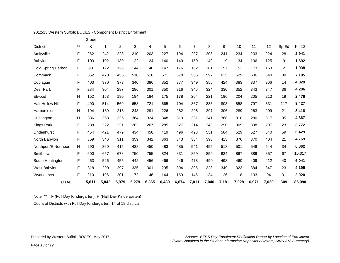## 2012/13 Western Suffolk BOCES - Component District Enrollment

|                          |             | Grade: |       |       |       |       |       |       |                |       |       |       |       |       |                |          |
|--------------------------|-------------|--------|-------|-------|-------|-------|-------|-------|----------------|-------|-------|-------|-------|-------|----------------|----------|
| District:                | $***$       | K      | 1     | 2     | 3     | 4     | 5     | 6     | $\overline{7}$ | 8     | 9     | 10    | 11    | 12    | Sp Ed          | $K - 12$ |
| Amityville               | F           | 262    | 242   | 228   | 210   | 203   | 227   | 194   | 207            | 208   | 241   | 234   | 233   | 224   | 28             | 2,941    |
| Babylon                  | F           | 103    | 102   | 130   | 122   | 124   | 140   | 149   | 159            | 140   | 119   | 134   | 136   | 125   | 9              | 1,692    |
| Cold Spring Harbor       | F           | 93     | 122   | 126   | 144   | 140   | 147   | 176   | 162            | 181   | 157   | 152   | 173   | 163   | $\overline{2}$ | 1,938    |
| Commack                  | F           | 362    | 470   | 455   | 510   | 516   | 571   | 578   | 586            | 597   | 635   | 629   | 606   | 640   | 30             | 7,185    |
| Copiague                 | F           | 403    | 370   | 373   | 340   | 386   | 352   | 377   | 349            | 355   | 424   | 383   | 337   | 366   | 14             | 4,829    |
| Deer Park                | F           | 284    | 304   | 287   | 286   | 301   | 350   | 316   | 346            | 324   | 330   | 352   | 343   | 347   | 36             | 4,206    |
| Elwood                   | н           | 152    | 153   | 190   | 184   | 184   | 175   | 178   | 204            | 221   | 196   | 204   | 205   | 213   | 19             | 2,478    |
| <b>Half Hollow Hills</b> | F           | 490    | 514   | 569   | 658   | 721   | 665   | 704   | 867            | 833   | 803   | 858   | 797   | 831   | 117            | 9,427    |
| <b>Harborfields</b>      | Н           | 194    | 189   | 218   | 248   | 291   | 226   | 282   | 295            | 297   | 306   | 289   | 263   | 299   | 21             | 3,418    |
| Huntington               | H           | 336    | 358   | 336   | 364   | 324   | 348   | 319   | 331            | 341   | 368   | 310   | 280   | 317   | 35             | 4,367    |
| Kings Park               | $\mathsf F$ | 238    | 222   | 231   | 283   | 267   | 285   | 327   | 314            | 348   | 290   | 309   | 338   | 297   | 23             | 3,772    |
| Lindenhurst              | F           | 454    | 421   | 479   | 434   | 458   | 419   | 496   | 498            | 531   | 584   | 529   | 527   | 540   | 59             | 6,429    |
| North Babylon            | F           | 359    | 346   | 311   | 359   | 342   | 363   | 343   | 364            | 398   | 413   | 376   | 370   | 404   | 21             | 4,769    |
| Northport/E Northport    | Н           | 290    | 360   | 415   | 438   | 450   | 483   | 485   | 541            | 455   | 518   | 501   | 548   | 544   | 34             | 6,062    |
| Smithtown                | F           | 600    | 657   | 678   | 750   | 755   | 824   | 831   | 859            | 859   | 824   | 867   | 889   | 857   | 67             | 10,317   |
| South Huntington         | F           | 463    | 526   | 455   | 442   | 456   | 466   | 446   | 478            | 490   | 498   | 460   | 409   | 412   | 40             | 6,041    |
| West Babylon             | F           | 318    | 290   | 297   | 335   | 301   | 295   | 304   | 305            | 328   | 349   | 323   | 384   | 347   | 23             | 4,199    |
| Wyandanch                | F           | 210    | 196   | 201   | 172   | 146   | 144   | 169   | 146            | 134   | 126   | 118   | 133   | 94    | 31             | 2,020    |
| <b>TOTAL</b>             |             | 5,611  | 5,842 | 5,979 | 6,279 | 6,365 | 6,480 | 6,674 | 7,011          | 7,040 | 7,181 | 7,028 | 6,971 | 7,020 | 609            | 86,090   |

Note: \*\* = F (Full Day Kindergarten), H (Half Day Kindergarten)

Count of Districts with Full Day Kindergarten: 14 of 18 districts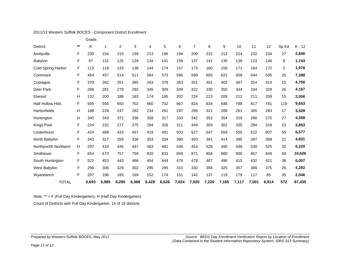## 2011/12 Western Suffolk BOCES - Component District Enrollment

|                          |       | Grade: |       |       |       |       |       |       |                |       |       |       |       |       |                |          |
|--------------------------|-------|--------|-------|-------|-------|-------|-------|-------|----------------|-------|-------|-------|-------|-------|----------------|----------|
| District:                | $***$ | Κ      | 1     | 2     | 3     | 4     | 5     | 6     | $\overline{7}$ | 8     | 9     | 10    | 11    | 12    | Sp Ed          | $K - 12$ |
| Amityville               | F     | 230    | 234   | 210   | 199   | 213   | 196   | 194   | 209            | 232   | 212   | 224   | 232   | 234   | 27             | 2,846    |
| Babylon                  | F     | 97     | 131   | 125   | 129   | 134   | 141   | 158   | 137            | 141   | 135   | 138   | 123   | 146   | 8              | 1,743    |
| Cold Spring Harbor       | F     | 113    | 118   | 133   | 138   | 144   | 174   | 157   | 173            | 160   | 159   | 171   | 164   | 172   | $\overline{2}$ | 1,978    |
| Commack                  | F     | 454    | 457   | 514   | 511   | 564   | 573   | 586   | 589            | 655   | 622   | 609   | 644   | 595   | 25             | 7,398    |
| Copiague                 | F     | 379    | 362   | 351   | 385   | 343   | 379   | 353   | 351            | 401   | 402   | 367   | 354   | 314   | 15             | 4,756    |
| Deer Park                | F     | 288    | 281   | 279   | 292   | 345   | 309   | 339   | 322            | 330   | 350   | 344   | 334   | 328   | 26             | 4,167    |
| Elwood                   | н     | 132    | 200   | 188   | 183   | 174   | 185   | 202   | 224            | 213   | 209   | 212   | 211   | 208   | 15             | 2,556    |
| <b>Half Hollow Hills</b> | F     | 505    | 556   | 650   | 702   | 660   | 702   | 867   | 824            | 834   | 848   | 788   | 817   | 781   | 119            | 9,653    |
| <b>Harborfields</b>      | Н     | 188    | 228   | 247   | 282   | 234   | 281   | 297   | 295            | 321   | 289   | 261   | 305   | 283   | 17             | 3,528    |
| Huntington               | н     | 340    | 343   | 372   | 336   | 358   | 317   | 333   | 342            | 352   | 354   | 319   | 290   | 275   | 27             | 4,358    |
| Kings Park               | F     | 224    | 232   | 277   | 275   | 284   | 326   | 311   | 349            | 303   | 302   | 335   | 294   | 318   | 23             | 3,853    |
| Lindenhurst              | F     | 424    | 488   | 433   | 457   | 419   | 481   | 503   | 527            | 547   | 559   | 555   | 522   | 607   | 55             | 6,577    |
| North Babylon            | F     | 343    | 317   | 359   | 336   | 353   | 334   | 380   | 403            | 391   | 414   | 395   | 387   | 398   | 21             | 4,831    |
| Northport/E Northport    | н     | 297    | 410   | 445   | 447   | 483   | 482   | 546   | 454            | 528   | 490   | 548   | 530   | 525   | 35             | 6,220    |
| Smithtown                | F     | 654    | 673   | 757   | 759   | 820   | 833   | 859   | 871            | 856   | 880   | 900   | 857   | 849   | 58             | 10,626   |
| South Huntington         | F     | 522    | 453   | 443   | 466   | 454   | 444   | 478   | 478            | 467   | 496   | 415   | 432   | 421   | 38             | 6,007    |
| West Babylon             | F     | 296    | 306   | 329   | 302   | 295   | 295   | 310   | 330            | 358   | 325   | 357   | 388   | 375   | 26             | 4,292    |
| Wyandanch                | F     | 207    | 196   | 183   | 169   | 152   | 174   | 151   | 142            | 137   | 119   | 179   | 117   | 85    | 35             | 2,046    |
| <b>TOTAL</b>             |       | 5,693  | 5,985 | 6,295 | 6,368 | 6,429 | 6,626 | 7,024 | 7,020          | 7,226 | 7,165 | 7,117 | 7,001 | 6,914 | 572            | 87,435   |

Note: \*\* = F (Full Day Kindergarten), H (Half Day Kindergarten)

Count of Districts with Full Day Kindergarten: 14 of 18 districts